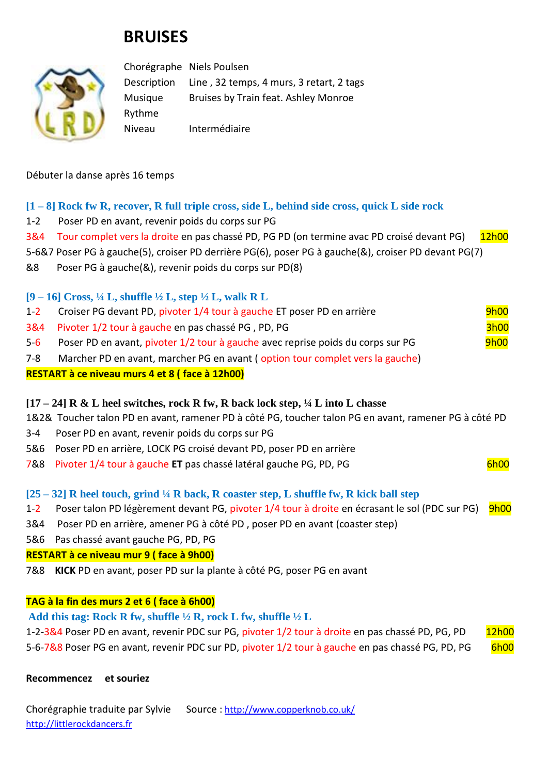# **BRUISES**



Chorégraphe Niels Poulsen Description Line , 32 temps, 4 murs, 3 retart, 2 tags Musique Bruises by Train feat. Ashley Monroe Rythme Niveau Intermédiaire

Débuter la danse après 16 temps

## **[1 – 8] Rock fw R, recover, R full triple cross, side L, behind side cross, quick L side rock**

- 1-2 Poser PD en avant, revenir poids du corps sur PG
- 3&4 Tour complet vers la droite en pas chassé PD, PG PD (on termine avac PD croisé devant PG) 12h00
- 5-6&7 Poser PG à gauche(5), croiser PD derrière PG(6), poser PG à gauche(&), croiser PD devant PG(7)
- &8 Poser PG à gauche(&), revenir poids du corps sur PD(8)

**[9 – 16] Cross, ¼ L, shuffle ½ L, step ½ L, walk R L** 

| $1 - 2$ | Croiser PG devant PD, pivoter 1/4 tour à gauche ET poser PD en arrière          | <b>9h00</b> |
|---------|---------------------------------------------------------------------------------|-------------|
|         | 3&4 Pivoter 1/2 tour à gauche en pas chassé PG, PD, PG                          | <b>3h00</b> |
| $5-6$   | Poser PD en avant, pivoter 1/2 tour à gauche avec reprise poids du corps sur PG | <b>9h00</b> |
| 7-8     | Marcher PD en avant, marcher PG en avant (option tour complet vers la gauche)   |             |

## **RESTART à ce niveau murs 4 et 8 ( face à 12h00)**

## **[17 – 24] R & L heel switches, rock R fw, R back lock step, ¼ L into L chasse**

1&2& Toucher talon PD en avant, ramener PD à côté PG, toucher talon PG en avant, ramener PG à côté PD

- 3-4 Poser PD en avant, revenir poids du corps sur PG
- 5&6 Poser PD en arrière, LOCK PG croisé devant PD, poser PD en arrière
- 7&8 Pivoter 1/4 tour à gauche **ET** pas chassé latéral gauche PG, PD, PG 6600 minutes of the 6h00

## **[25 – 32] R heel touch, grind ¼ R back, R coaster step, L shuffle fw, R kick ball step**

- 1-2 Poser talon PD légèrement devant PG, pivoter 1/4 tour à droite en écrasant le sol (PDC sur PG) 9h00
- 3&4 Poser PD en arrière, amener PG à côté PD , poser PD en avant (coaster step)
- 5&6 Pas chassé avant gauche PG, PD, PG

## **RESTART à ce niveau mur 9 ( face à 9h00)**

7&8 **KICK** PD en avant, poser PD sur la plante à côté PG, poser PG en avant

## **TAG à la fin des murs 2 et 6 ( face à 6h00)**

## **Add this tag: Rock R fw, shuffle ½ R, rock L fw, shuffle ½ L**

1-2-3&4 Poser PD en avant, revenir PDC sur PG, pivoter 1/2 tour à droite en pas chassé PD, PG, PD 12h00 5-6-7&8 Poser PG en avant, revenir PDC sur PD, pivoter 1/2 tour à gauche en pas chassé PG, PD, PG 6h00

**Recommencez et souriez**

Chorégraphie traduite par Sylvie Source : [http://www.copperknob.co.uk/](https://www.copperknob.co.uk/)  [http://littlerockdancers.fr](http://littlerockdancers.fr/)